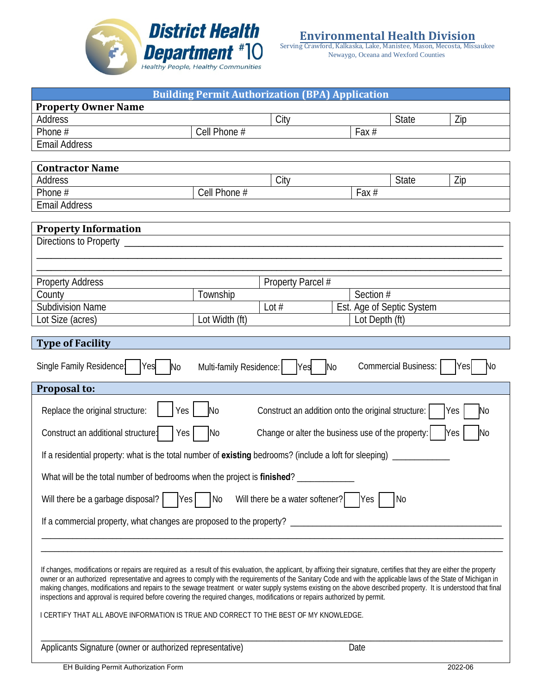

Serving Crawford, Kalkaska, Lake, Manistee, Mason, Mecosta, Missaukee Newaygo, Oceana and Wexford Counties

| <b>Building Permit Authorization (BPA) Application</b>                                                                                                                                                                                                                                                                                                                                                                                                                                                                                                                                                                                      |                         |                   |                           |                             |           |  |
|---------------------------------------------------------------------------------------------------------------------------------------------------------------------------------------------------------------------------------------------------------------------------------------------------------------------------------------------------------------------------------------------------------------------------------------------------------------------------------------------------------------------------------------------------------------------------------------------------------------------------------------------|-------------------------|-------------------|---------------------------|-----------------------------|-----------|--|
| <b>Property Owner Name</b>                                                                                                                                                                                                                                                                                                                                                                                                                                                                                                                                                                                                                  |                         |                   |                           |                             |           |  |
| <b>Address</b>                                                                                                                                                                                                                                                                                                                                                                                                                                                                                                                                                                                                                              |                         | City              |                           | <b>State</b>                | Zip       |  |
| Phone #                                                                                                                                                                                                                                                                                                                                                                                                                                                                                                                                                                                                                                     | Cell Phone #            |                   | Fax #                     |                             |           |  |
| <b>Email Address</b>                                                                                                                                                                                                                                                                                                                                                                                                                                                                                                                                                                                                                        |                         |                   |                           |                             |           |  |
| <b>Contractor Name</b>                                                                                                                                                                                                                                                                                                                                                                                                                                                                                                                                                                                                                      |                         |                   |                           |                             |           |  |
| Address                                                                                                                                                                                                                                                                                                                                                                                                                                                                                                                                                                                                                                     |                         | City              |                           | <b>State</b>                | Zip       |  |
| Phone #                                                                                                                                                                                                                                                                                                                                                                                                                                                                                                                                                                                                                                     | Cell Phone #            |                   | Fax $#$                   |                             |           |  |
| <b>Email Address</b>                                                                                                                                                                                                                                                                                                                                                                                                                                                                                                                                                                                                                        |                         |                   |                           |                             |           |  |
|                                                                                                                                                                                                                                                                                                                                                                                                                                                                                                                                                                                                                                             |                         |                   |                           |                             |           |  |
| <b>Property Information</b>                                                                                                                                                                                                                                                                                                                                                                                                                                                                                                                                                                                                                 |                         |                   |                           |                             |           |  |
| Directions to Property ___                                                                                                                                                                                                                                                                                                                                                                                                                                                                                                                                                                                                                  |                         |                   |                           |                             |           |  |
|                                                                                                                                                                                                                                                                                                                                                                                                                                                                                                                                                                                                                                             |                         |                   |                           |                             |           |  |
|                                                                                                                                                                                                                                                                                                                                                                                                                                                                                                                                                                                                                                             |                         |                   |                           |                             |           |  |
| <b>Property Address</b>                                                                                                                                                                                                                                                                                                                                                                                                                                                                                                                                                                                                                     |                         | Property Parcel # |                           |                             |           |  |
| County                                                                                                                                                                                                                                                                                                                                                                                                                                                                                                                                                                                                                                      | Township                |                   | Section #                 |                             |           |  |
| <b>Subdivision Name</b>                                                                                                                                                                                                                                                                                                                                                                                                                                                                                                                                                                                                                     |                         | Lot $#$           | Est. Age of Septic System |                             |           |  |
| Lot Size (acres)                                                                                                                                                                                                                                                                                                                                                                                                                                                                                                                                                                                                                            | Lot Width (ft)          |                   | Lot Depth (ft)            |                             |           |  |
| <b>Type of Facility</b>                                                                                                                                                                                                                                                                                                                                                                                                                                                                                                                                                                                                                     |                         |                   |                           |                             |           |  |
|                                                                                                                                                                                                                                                                                                                                                                                                                                                                                                                                                                                                                                             |                         |                   |                           |                             |           |  |
| Single Family Residence:<br>Yes<br>N <sub>o</sub>                                                                                                                                                                                                                                                                                                                                                                                                                                                                                                                                                                                           | Multi-family Residence: | <b>Yes</b>        | N <sub>o</sub>            | <b>Commercial Business:</b> | Yes<br>No |  |
| Proposal to:                                                                                                                                                                                                                                                                                                                                                                                                                                                                                                                                                                                                                                |                         |                   |                           |                             |           |  |
| Yes<br>Replace the original structure:<br>N <sub>o</sub><br>Construct an addition onto the original structure:<br>Yes<br>No                                                                                                                                                                                                                                                                                                                                                                                                                                                                                                                 |                         |                   |                           |                             |           |  |
| Construct an additional structure:<br>Change or alter the business use of the property:<br>N <sub>0</sub><br><b>Yes</b><br>No<br>Yes                                                                                                                                                                                                                                                                                                                                                                                                                                                                                                        |                         |                   |                           |                             |           |  |
| If a residential property: what is the total number of existing bedrooms? (include a loft for sleeping)                                                                                                                                                                                                                                                                                                                                                                                                                                                                                                                                     |                         |                   |                           |                             |           |  |
| What will be the total number of bedrooms when the project is <b>finished</b> ?                                                                                                                                                                                                                                                                                                                                                                                                                                                                                                                                                             |                         |                   |                           |                             |           |  |
| Will there be a garbage disposal?<br>Will there be a water softener?<br>Yes<br>$\overline{\mathsf{No}}$<br>Yes<br>  No                                                                                                                                                                                                                                                                                                                                                                                                                                                                                                                      |                         |                   |                           |                             |           |  |
|                                                                                                                                                                                                                                                                                                                                                                                                                                                                                                                                                                                                                                             |                         |                   |                           |                             |           |  |
|                                                                                                                                                                                                                                                                                                                                                                                                                                                                                                                                                                                                                                             |                         |                   |                           |                             |           |  |
|                                                                                                                                                                                                                                                                                                                                                                                                                                                                                                                                                                                                                                             |                         |                   |                           |                             |           |  |
|                                                                                                                                                                                                                                                                                                                                                                                                                                                                                                                                                                                                                                             |                         |                   |                           |                             |           |  |
| If changes, modifications or repairs are required as a result of this evaluation, the applicant, by affixing their signature, certifies that they are either the property<br>owner or an authorized representative and agrees to comply with the requirements of the Sanitary Code and with the applicable laws of the State of Michigan in<br>making changes, modifications and repairs to the sewage treatment or water supply systems existing on the above described property. It is understood that final<br>inspections and approval is required before covering the required changes, modifications or repairs authorized by permit. |                         |                   |                           |                             |           |  |
|                                                                                                                                                                                                                                                                                                                                                                                                                                                                                                                                                                                                                                             |                         |                   |                           |                             |           |  |
| I CERTIFY THAT ALL ABOVE INFORMATION IS TRUE AND CORRECT TO THE BEST OF MY KNOWLEDGE.                                                                                                                                                                                                                                                                                                                                                                                                                                                                                                                                                       |                         |                   |                           |                             |           |  |
|                                                                                                                                                                                                                                                                                                                                                                                                                                                                                                                                                                                                                                             |                         |                   |                           |                             |           |  |
| Applicants Signature (owner or authorized representative)                                                                                                                                                                                                                                                                                                                                                                                                                                                                                                                                                                                   |                         |                   | Date                      |                             |           |  |
| EH Building Permit Authorization Form                                                                                                                                                                                                                                                                                                                                                                                                                                                                                                                                                                                                       |                         |                   |                           |                             | 2022-06   |  |